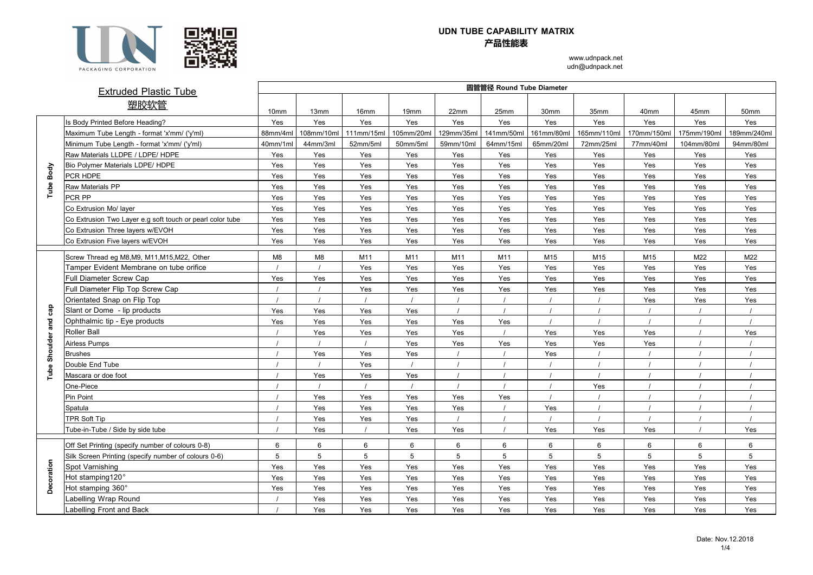

## **UDN TUBE CAPABILITY MATRIX 产品性能表**

www.udnpack.net udn@udnpack.net

|            | <b>Extruded Plastic Tube</b>                              | 圆管管径 Round Tube Diameter |            |            |                  |                |                 |                  |             |             |                 |             |  |  |
|------------|-----------------------------------------------------------|--------------------------|------------|------------|------------------|----------------|-----------------|------------------|-------------|-------------|-----------------|-------------|--|--|
|            | 塑胶软管                                                      | 10 <sub>mm</sub>         | 13mm       | 16mm       | 19 <sub>mm</sub> | 22mm           | 25mm            | 30 <sub>mm</sub> | 35mm        | 40mm        | 45mm            | 50mm        |  |  |
|            | Is Body Printed Before Heading?                           | Yes                      | Yes        | Yes        | Yes              | Yes            | Yes             | Yes              | Yes         | Yes         | Yes             | Yes         |  |  |
|            | Maximum Tube Length - format 'x'mm/ ('y'ml)               | 88mm/4ml                 | 108mm/10m  | 111mm/15ml | 105mm/20ml       | 129mm/35ml     | 141mm/50m       | 161mm/80m        | 165mm/110ml | 170mm/150ml | 175mm/190ml     | 189mm/240ml |  |  |
|            | Minimum Tube Length - format 'x'mm/ ('y'ml)               | 40mm/1ml                 | 44mm/3ml   | 52mm/5ml   | 50mm/5ml         | 59mm/10ml      | 64mm/15ml       | 65mm/20ml        | 72mm/25ml   | 77mm/40ml   | 104mm/80ml      | 94mm/80ml   |  |  |
|            | Raw Materials LLDPE / LDPE/ HDPE                          | Yes                      | Yes        | Yes        | Yes              | Yes            | Yes             | Yes              | Yes         | Yes         | Yes             | Yes         |  |  |
|            | Bio Polymer Materials LDPE/ HDPE                          | Yes                      | Yes        | Yes        | Yes              | Yes            | Yes             | Yes              | Yes         | Yes         | Yes             | Yes         |  |  |
| Body       | PCR HDPE                                                  | Yes                      | Yes        | Yes        | Yes              | Yes            | Yes             | Yes              | Yes         | Yes         | Yes             | Yes         |  |  |
| Tube       | <b>Raw Materials PP</b>                                   | Yes                      | Yes        | Yes        | Yes              | Yes            | Yes             | Yes              | Yes         | Yes         | Yes             | Yes         |  |  |
|            | PCR PP                                                    | Yes                      | Yes        | Yes        | Yes              | Yes            | Yes             | Yes              | Yes         | Yes         | Yes             | Yes         |  |  |
|            | Co Extrusion Mo/ layer                                    | Yes                      | Yes        | Yes        | Yes              | Yes            | Yes             | Yes              | Yes         | Yes         | Yes             | Yes         |  |  |
|            | Co Extrusion Two Layer e.g soft touch or pearl color tube | Yes                      | Yes        | Yes        | Yes              | Yes            | Yes             | Yes              | Yes         | Yes         | Yes             | Yes         |  |  |
|            | Co Extrusion Three layers w/EVOH                          | Yes                      | Yes        | Yes        | Yes              | Yes            | Yes             | Yes              | Yes         | Yes         | Yes             | Yes         |  |  |
|            | Co Extrusion Five layers w/EVOH                           | Yes                      | Yes        | Yes        | Yes              | Yes            | Yes             | Yes              | Yes         | Yes         | Yes             | Yes         |  |  |
|            | Screw Thread eq M8,M9, M11,M15,M22, Other                 | M8                       | M8         | M11        | M11              | M11            | M11             | M15              | M15         | M15         | M22             | M22         |  |  |
|            | Tamper Evident Membrane on tube orifice                   |                          |            | Yes        | Yes              | Yes            | Yes             | Yes              | Yes         | Yes         | Yes             | Yes         |  |  |
|            | Full Diameter Screw Cap                                   | Yes                      | Yes        | Yes        | Yes              | Yes            | Yes             | Yes              | Yes         | Yes         | Yes             | Yes         |  |  |
|            | Full Diameter Flip Top Screw Cap                          |                          |            | Yes        | Yes              | Yes            | Yes             | Yes              | Yes         | Yes         | Yes             | Yes         |  |  |
|            | Orientated Snap on Flip Top                               |                          | $\sqrt{ }$ | $\prime$   | $\sqrt{ }$       | $\prime$       |                 |                  |             | Yes         | Yes             | Yes         |  |  |
| cap        | Slant or Dome - lip products                              | Yes                      | Yes        | Yes        | Yes              | $\overline{1}$ |                 |                  |             |             |                 |             |  |  |
| and        | Ophthalmic tip - Eye products                             | Yes                      | Yes        | Yes        | Yes              | Yes            | Yes             |                  |             |             |                 |             |  |  |
|            | <b>Roller Ball</b>                                        |                          | Yes        | Yes        | Yes              | Yes            |                 | Yes              | Yes         | Yes         |                 | Yes         |  |  |
| Shoulder   | Airless Pumps                                             |                          |            |            | Yes              | Yes            | Yes             | Yes              | Yes         | Yes         |                 |             |  |  |
|            | <b>Brushes</b>                                            |                          | Yes        | Yes        | Yes              |                |                 | Yes              |             |             |                 |             |  |  |
|            | Double End Tube                                           |                          |            | Yes        |                  |                |                 |                  |             |             |                 |             |  |  |
| Tube       | Mascara or doe foot                                       |                          | Yes        | Yes        | Yes              |                |                 |                  |             |             |                 |             |  |  |
|            | One-Piece                                                 |                          |            | $\prime$   | $\overline{1}$   | $\prime$       |                 |                  | Yes         |             |                 |             |  |  |
|            | <b>Pin Point</b>                                          |                          | Yes        | Yes        | Yes              | Yes            | Yes             |                  |             |             |                 |             |  |  |
|            | Spatula                                                   |                          | Yes        | Yes        | Yes              | Yes            |                 | Yes              |             |             |                 |             |  |  |
|            | <b>TPR Soft Tip</b>                                       |                          | Yes        | Yes        | Yes              |                |                 |                  |             |             |                 |             |  |  |
|            | Tube-in-Tube / Side by side tube                          |                          | Yes        |            | Yes              | Yes            |                 | Yes              | Yes         | Yes         |                 | Yes         |  |  |
|            | Off Set Printing (specify number of colours 0-8)          | $6\overline{6}$          | 6          | 6          | 6                | 6              | 6               | 6                | 6           | 6           | $6\overline{6}$ | 6           |  |  |
|            | Silk Screen Printing (specify number of colours 0-6)      | 5                        | 5          | 5          | 5                | 5              | $5\overline{5}$ | 5                | 5           | 5           | 5               | 5           |  |  |
|            | Spot Varnishing                                           | Yes                      | Yes        | Yes        | Yes              | Yes            | Yes             | Yes              | Yes         | Yes         | Yes             | Yes         |  |  |
|            | Hot stamping120°                                          | Yes                      | Yes        | Yes        | Yes              | Yes            | Yes             | Yes              | Yes         | Yes         | Yes             | Yes         |  |  |
| Decoration | Hot stamping 360°                                         | Yes                      | Yes        | Yes        | Yes              | Yes            | Yes             | Yes              | Yes         | Yes         | Yes             | Yes         |  |  |
|            | abelling Wrap Round.                                      |                          | Yes        | Yes        | Yes              | Yes            | Yes             | Yes              | Yes         | Yes         | Yes             | Yes         |  |  |
|            | abelling Front and Back                                   |                          | Yes        | Yes        | Yes              | Yes            | Yes             | Yes              | Yes         | Yes         | Yes             | Yes         |  |  |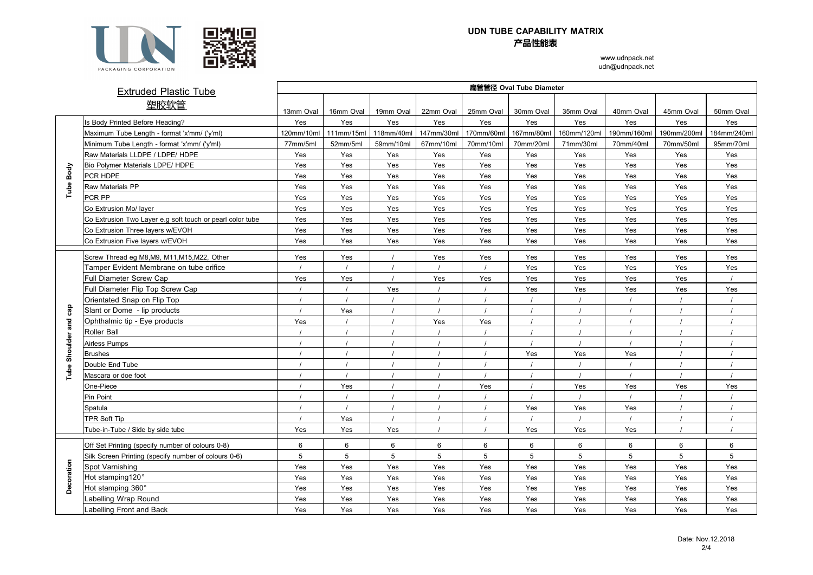

## **UDN TUBE CAPABILITY MATRIX 产品性能表**

www.udnpack.net udn@udnpack.net

|            | <b>Extruded Plastic Tube</b>                              | 扁管管径 Oval Tube Diameter |                |            |            |            |            |                 |                |             |             |  |  |
|------------|-----------------------------------------------------------|-------------------------|----------------|------------|------------|------------|------------|-----------------|----------------|-------------|-------------|--|--|
|            | 塑胶软管                                                      | 13mm Oval               | 16mm Oval      | 19mm Oval  | 22mm Oval  | 25mm Oval  | 30mm Oval  | 35mm Oval       | 40mm Oval      | 45mm Oval   | 50mm Oval   |  |  |
|            | <b>Body Printed Before Heading?</b>                       | Yes                     | Yes            | Yes        | Yes        | Yes        | Yes        | Yes             | Yes            | Yes         | Yes         |  |  |
|            | Maximum Tube Length - format 'x'mm/ ('y'ml)               | 120mm/10ml              | 111mm/15ml     | 118mm/40ml | 147mm/30ml | 170mm/60ml | 167mm/80ml | 160mm/120ml     | 190mm/160ml    | 190mm/200ml | 184mm/240ml |  |  |
|            | Minimum Tube Length - format 'x'mm/ ('y'ml)               | 77mm/5ml                | 52mm/5ml       | 59mm/10ml  | 67mm/10ml  | 70mm/10ml  | 70mm/20ml  | 71mm/30ml       | 70mm/40ml      | 70mm/50ml   | 95mm/70ml   |  |  |
|            | Raw Materials LLDPE / LDPE/ HDPE                          | Yes                     | Yes            | Yes        | Yes        | Yes        | Yes        | Yes             | Yes            | Yes         | Yes         |  |  |
| Body       | Bio Polymer Materials LDPE/ HDPE                          | Yes                     | Yes            | Yes        | Yes        | Yes        | Yes        | Yes             | Yes            | Yes         | Yes         |  |  |
|            | PCR HDPE                                                  | Yes                     | Yes            | Yes        | Yes        | Yes        | Yes        | Yes             | Yes            | Yes         | Yes         |  |  |
|            | Raw Materials PP                                          | Yes                     | Yes            | Yes        | Yes        | Yes        | Yes        | Yes             | Yes            | Yes         | Yes         |  |  |
| Tube       | PCR PP                                                    | Yes                     | Yes            | Yes        | Yes        | Yes        | Yes        | Yes             | Yes            | Yes         | Yes         |  |  |
|            |                                                           |                         |                |            |            |            |            |                 |                |             |             |  |  |
|            | Co Extrusion Mo/ layer                                    | Yes                     | Yes            | Yes        | Yes        | Yes        | Yes        | Yes             | Yes            | Yes         | Yes         |  |  |
|            | Co Extrusion Two Layer e.g soft touch or pearl color tube | Yes                     | Yes            | Yes        | Yes        | Yes        | Yes        | Yes             | Yes            | Yes         | Yes         |  |  |
|            | Co Extrusion Three layers w/EVOH                          | Yes                     | Yes            | Yes        | Yes        | Yes        | Yes        | Yes             | Yes            | Yes         | Yes         |  |  |
|            | Co Extrusion Five layers w/EVOH                           | Yes                     | Yes            | Yes        | Yes        | Yes        | Yes        | Yes             | Yes            | Yes         | Yes         |  |  |
|            | Screw Thread eg M8, M9, M11, M15, M22, Other              | Yes                     | Yes            |            | Yes        | Yes        | Yes        | Yes             | Yes            | Yes         | Yes         |  |  |
|            | Tamper Evident Membrane on tube orifice                   |                         |                |            |            |            | Yes        | Yes             | Yes            | Yes         | Yes         |  |  |
|            | Full Diameter Screw Cap                                   | Yes                     | Yes            |            | Yes        | Yes        | Yes        | Yes             | Yes            | Yes         |             |  |  |
|            | Full Diameter Flip Top Screw Cap                          |                         |                | Yes        |            |            | Yes        | Yes             | Yes            | Yes         | Yes         |  |  |
|            | Orientated Snap on Flip Top                               |                         | $\overline{1}$ |            |            |            |            |                 | $\overline{1}$ |             |             |  |  |
| Сãр        | Slant or Dome - lip products                              | $\overline{1}$          | Yes            |            |            |            |            |                 |                |             |             |  |  |
| and        | Ophthalmic tip - Eye products                             | Yes                     |                |            | Yes        | Yes        |            |                 |                |             |             |  |  |
|            | Roller Ball                                               |                         |                |            |            |            |            | $\overline{1}$  | $\overline{1}$ |             |             |  |  |
| Shoulder   | Airless Pumps                                             |                         |                |            |            |            |            |                 |                |             |             |  |  |
|            | Brushes                                                   |                         |                |            |            |            | Yes        | Yes             | Yes            |             |             |  |  |
|            | Double End Tube                                           |                         |                |            |            |            |            |                 |                |             |             |  |  |
| Tube       | Mascara or doe foot                                       |                         |                |            |            |            |            | $\overline{1}$  | $\prime$       | $\prime$    | $\sqrt{ }$  |  |  |
|            | One-Piece                                                 |                         | Yes            |            |            | Yes        |            | Yes             | Yes            | Yes         | Yes         |  |  |
|            | Pin Point                                                 |                         |                |            |            |            |            |                 |                |             |             |  |  |
|            | Spatula                                                   |                         |                |            |            |            | Yes        | Yes             | Yes            |             |             |  |  |
|            | TPR Soft Tip                                              |                         | Yes            |            |            |            |            | $\prime$        |                |             |             |  |  |
|            | Tube-in-Tube / Side by side tube                          | Yes                     | Yes            | Yes        |            |            | Yes        | Yes             | Yes            |             |             |  |  |
|            |                                                           |                         |                |            |            |            |            |                 |                |             |             |  |  |
|            | Off Set Printing (specify number of colours 0-8)          | 6                       | 6              | 6          | 6          | 6          | 6          | 6               | 6              | 6           | 6           |  |  |
|            | Silk Screen Printing (specify number of colours 0-6)      | 5                       | 5              | 5          | 5          | 5          | 5          | $5\phantom{.0}$ | 5              | 5           | 5           |  |  |
|            | Spot Varnishing                                           | Yes                     | Yes            | Yes        | Yes        | Yes        | Yes        | Yes             | Yes            | Yes         | Yes         |  |  |
| Decoration | Hot stamping120°                                          | Yes                     | Yes            | Yes        | Yes        | Yes        | Yes        | Yes             | Yes            | Yes         | Yes         |  |  |
|            | Hot stamping 360°                                         | Yes                     | Yes            | Yes        | Yes        | Yes        | Yes        | Yes             | Yes            | Yes         | Yes         |  |  |
|            | abelling Wrap Round.                                      | Yes                     | Yes            | Yes        | Yes        | Yes        | Yes        | Yes             | Yes            | Yes         | Yes         |  |  |
|            | abelling Front and Back                                   | Yes                     | Yes            | Yes        | Yes        | Yes        | Yes        | Yes             | Yes            | Yes         | Yes         |  |  |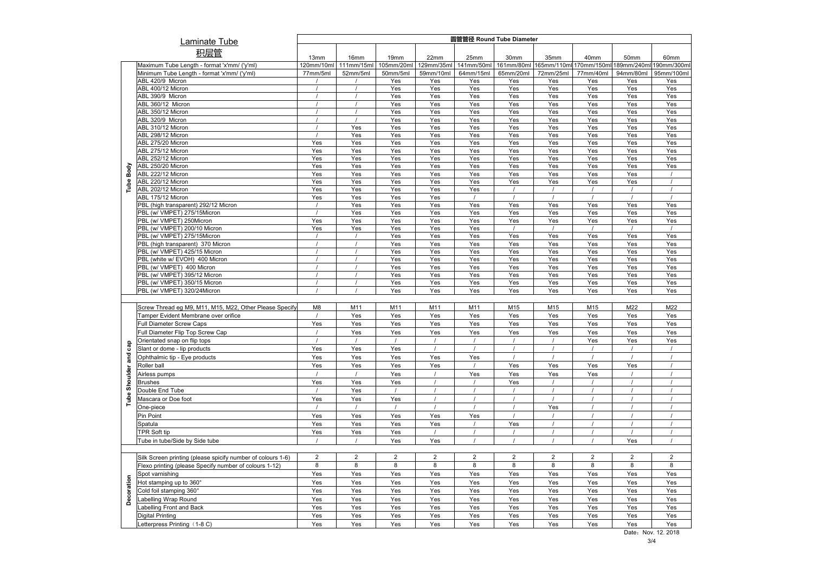| <b>Laminate Tube</b>                                          | 圆管管径 Round Tube Diameter |                |                  |                |                |                |                |                |                |                |  |
|---------------------------------------------------------------|--------------------------|----------------|------------------|----------------|----------------|----------------|----------------|----------------|----------------|----------------|--|
|                                                               |                          |                |                  |                |                |                |                |                |                |                |  |
| 积层管                                                           | 13mm                     | 16mm           | 19 <sub>mm</sub> | 22mm           | 25mm           | 30mm           | 35mm           | 40mm           | 50mm           | 60mm           |  |
| Maximum Tube Length - format 'x'mm/ ('y'ml)                   | 120mm/10ml               | 111mm/15ml     | 105mm/20ml       | 129mm/35ml     | 141mm/50ml     | 161mm/80ml     | 165mm/110ml    | 170mm/150m     | 189mm/240ml    | 190mm/300m     |  |
| Minimum Tube Length - format 'x'mm/ ('y'ml)                   | 77mm/5ml                 | 52mm/5ml       | 50mm/5ml         | 59mm/10ml      | 64mm/15ml      | 65mm/20ml      | 72mm/25ml      | 77mm/40ml      | 94mm/80ml      | 95mm/100ml     |  |
| ABL 420/9 Micron                                              |                          |                | Yes              | Yes            | Yes            | Yes            | Yes            | Yes            | Yes            | Yes            |  |
| ABL 400/12 Micron                                             |                          |                | Yes              | Yes            | Yes            | Yes            | Yes            | Yes            | Yes            | Yes            |  |
| ABL 390/9 Micron                                              |                          |                | Yes              | Yes            | Yes            | Yes            | Yes            | Yes            | Yes            | Yes            |  |
| ABL 360/12 Micron                                             |                          |                | Yes              | Yes            | Yes            | Yes            | Yes            | Yes            | Yes            | Yes            |  |
| ABL 350/12 Micron                                             |                          |                | Yes              | Yes            | Yes            | Yes            | Yes            | Yes            | Yes            | Yes            |  |
| ABL 320/9 Micron                                              |                          |                | Yes              | Yes            | Yes            | Yes            | Yes            | Yes            | Yes            | Yes            |  |
| ABL 310/12 Micron                                             |                          | Yes            | Yes              | Yes            | Yes            | Yes            | Yes            | Yes            | Yes            | Yes            |  |
| ABL 298/12 Micron                                             |                          | Yes            | Yes              | Yes            | Yes            | Yes            | Yes            | Yes            | Yes            | Yes            |  |
| ABL 275/20 Micron                                             | Yes                      | Yes            | Yes              | Yes            | Yes            | Yes            | Yes            | Yes            | Yes            | Yes            |  |
| ABL 275/12 Micron                                             | Yes                      | Yes            | Yes              | Yes            | Yes            | Yes            | Yes            | Yes            | Yes            | Yes            |  |
| ABL 252/12 Micron                                             | Yes                      | Yes            | Yes              | Yes            | Yes            | Yes            | Yes            | Yes            | Yes            | Yes            |  |
| Body<br>ABL 250/20 Micron<br>ABL 222/12 Micron                | Yes<br>Yes               | Yes<br>Yes     | Yes<br>Yes       | Yes<br>Yes     | Yes<br>Yes     | Yes<br>Yes     | Yes<br>Yes     | Yes<br>Yes     | Yes<br>Yes     | Yes            |  |
| ABL 220/12 Micron                                             | Yes                      | Yes            | Yes              | Yes            | Yes            | Yes            | Yes            | Yes            | Yes            |                |  |
| Tube<br>ABL 202/12 Micron                                     | Yes                      | Yes            | Yes              | Yes            | Yes            |                |                |                | $\prime$       | $\prime$       |  |
| ABL 175/12 Micron                                             | Yes                      | Yes            | Yes              | Yes            |                |                |                |                |                |                |  |
| PBL (high transparent) 292/12 Micron                          |                          | Yes            | Yes              | Yes            | Yes            | Yes            | Yes            | Yes            | Yes            | Yes            |  |
| PBL (w/ VMPET) 275/15Micron                                   | $\prime$                 | Yes            | Yes              | Yes            | Yes            | Yes            | Yes            | Yes            | Yes            | Yes            |  |
| PBL (w/ VMPET) 250Micron                                      | Yes                      | Yes            | Yes              | Yes            | Yes            | Yes            | Yes            | Yes            | Yes            | Yes            |  |
| PBL (w/ VMPET) 200/10 Micron                                  | Yes                      | Yes            | Yes              | Yes            | Yes            |                |                |                |                |                |  |
| PBL (w/ VMPET) 275/15Micron                                   | $\prime$                 | $\prime$       | Yes              | Yes            | Yes            | Yes            | Yes            | Yes            | Yes            | Yes            |  |
| PBL (high transparent) 370 Micron                             |                          |                | Yes              | Yes            | Yes            | Yes            | Yes            | Yes            | Yes            | Yes            |  |
| PBL (w/ VMPET) 425/15 Micron                                  |                          |                | Yes              | Yes            | Yes            | Yes            | Yes            | Yes            | Yes            | Yes            |  |
| PBL (white w/ EVOH) 400 Micron                                |                          |                | Yes              | Yes            | Yes            | Yes            | Yes            | Yes            | Yes            | Yes            |  |
| PBL (w/ VMPET) 400 Micron                                     |                          |                | Yes              | Yes            | Yes            | Yes            | Yes            | Yes            | Yes            | Yes            |  |
| PBL (w/ VMPET) 395/12 Micron                                  |                          |                | Yes              | Yes            | Yes            | Yes            | Yes            | Yes            | Yes            | Yes            |  |
| PBL (w/ VMPET) 350/15 Micron                                  |                          |                | Yes              | Yes            | Yes            | Yes            | Yes            | Yes            | Yes            | Yes            |  |
| PBL (w/ VMPET) 320/24Micron                                   |                          |                | Yes              | Yes            | Yes            | Yes            | Yes            | Yes            | Yes            | Yes            |  |
|                                                               |                          |                |                  |                |                |                |                |                |                |                |  |
| Screw Thread eg M9, M11, M15, M22, Other Please Specify       | M8                       | M11            | M11              | M11            | M11            | M15            | M15            | M15            | M22            | M22            |  |
| Tamper Evident Membrane over orifice                          |                          | Yes            | Yes              | Yes            | Yes            | Yes            | Yes            | Yes            | Yes            | Yes            |  |
| <b>Full Diameter Screw Caps</b>                               | Yes                      | Yes            | Yes              | Yes            | Yes            | Yes            | Yes            | Yes            | Yes            | Yes            |  |
| Full Diameter Flip Top Screw Cap                              |                          | Yes            | Yes              | Yes            | Yes            | Yes            | Yes            | Yes            | Yes            | Yes            |  |
| Orientated snap on flip tops                                  | $\prime$                 | $\prime$       | $\prime$         |                |                | $\prime$       | $\prime$       | Yes            | Yes            | Yes            |  |
| Slant or dome - lip products                                  | Yes                      | Yes            | Yes              |                |                |                |                |                |                |                |  |
| Ophthalmic tip - Eye products                                 | Yes                      | Yes            | Yes              | Yes            | Yes            |                |                |                | $\sqrt{ }$     | $\prime$       |  |
| Roller ball                                                   | Yes                      | Yes            | Yes              | Yes            |                | Yes            | Yes            | Yes            | Yes            |                |  |
| Airless pumps                                                 | $\prime$                 | $\prime$       | Yes              | $\prime$       | Yes            | Yes            | Yes            | Yes            | $\prime$       | $\prime$       |  |
| <b>Brushes</b>                                                | Yes                      | Yes            | Yes              |                |                | Yes            |                |                |                |                |  |
| Double End Tube                                               |                          | Yes            |                  |                |                |                | $\prime$       | $\prime$       | $\prime$       |                |  |
| Mascara or Doe foot                                           | Yes                      | Yes            | Yes              |                |                |                |                |                |                |                |  |
| One-piece                                                     | $\prime$                 | $\prime$       | $\prime$         |                |                |                | Yes            | $\prime$       | $\prime$       | $\prime$       |  |
| Pin Point                                                     | Yes                      | Yes            | Yes              | Yes            | Yes            |                |                |                |                |                |  |
| Spatula                                                       | Yes                      | Yes            | Yes              | Yes            |                | Yes            | $\prime$       |                | $\prime$       | $\prime$       |  |
| <b>TPR Soft tip</b>                                           | Yes                      | Yes            | Yes              |                |                |                | $\prime$       |                |                |                |  |
| Tube in tube/Side by Side tube                                | $\prime$                 | $\prime$       | Yes              | Yes            |                |                |                |                | Yes            | $\prime$       |  |
|                                                               |                          |                |                  |                |                |                |                |                |                |                |  |
| Silk Screen printing (please spicify number of colours 1-6)   | $\overline{2}$           | $\overline{2}$ | $\overline{2}$   | $\overline{2}$ | $\overline{2}$ | $\overline{2}$ | $\overline{2}$ | $\overline{2}$ | $\overline{2}$ | $\overline{2}$ |  |
| Flexo printing (please Specify number of colours 1-12)        | 8                        | 8              | 8                | 8              | 8              | 8              | 8              | 8              | 8              | 8              |  |
| Spot varnishing                                               | Yes                      | Yes            | Yes              | Yes            | Yes            | Yes            | Yes            | Yes            | Yes            | Yes            |  |
| Hot stamping up to 360°                                       | Yes                      | Yes            | Yes              | Yes            | Yes            | Yes            | Yes            | Yes            | Yes            | Yes            |  |
|                                                               |                          |                |                  |                |                |                |                |                |                |                |  |
| Cold foil stamping 360°                                       | Yes<br>Yes               | Yes            | Yes              | Yes            | Yes            | Yes            | Yes            | Yes            | Yes            | Yes            |  |
|                                                               |                          | Yes            | Yes              | Yes            | Yes            | Yes            | Yes            | Yes            | Yes            | Yes            |  |
| abelling Wrap Round                                           |                          |                |                  |                |                |                |                |                |                |                |  |
| abelling Front and Back                                       | Yes                      | Yes            | Yes              | Yes            | Yes            | Yes            | Yes            | Yes            | Yes            | Yes            |  |
| Decoration<br>igital Printing<br>Letterpress Printing (1-8 C) | Yes<br>Yes               | Yes<br>Yes     | Yes<br>Yes       | Yes<br>Yes     | Yes<br>Yes     | Yes<br>Yes     | Yes<br>Yes     | Yes<br>Yes     | Yes<br>Yes     | Yes<br>Yes     |  |

3/4